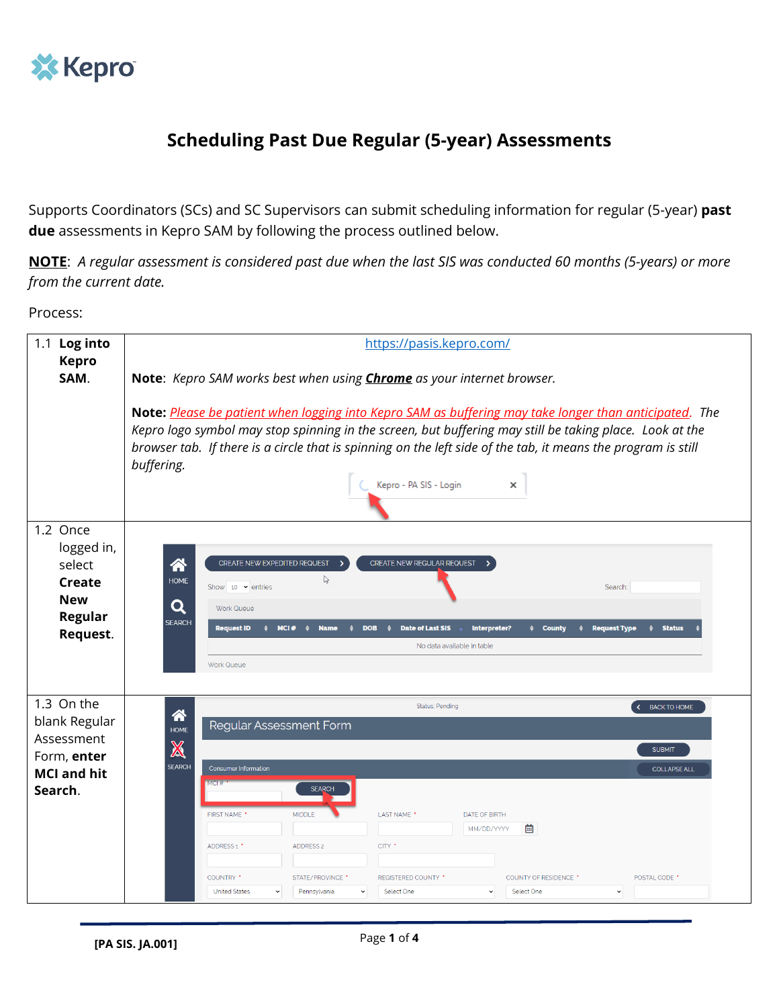

## **Scheduling Past Due Regular (5-year) Assessments**

Supports Coordinators (SCs) and SC Supervisors can submit scheduling information for regular (5-year) **past due** assessments in Kepro SAM by following the process outlined below.

**NOTE**: *A regular assessment is considered past due when the last SIS was conducted 60 months (5-years) or more from the current date.*

Process:

| 1.1 Log into                                                                              | https://pasis.kepro.com/                                                                                                                                                                                                                                                                                                                                                                                                                                                                                                                                                                                                                                        |  |  |  |  |  |  |  |  |
|-------------------------------------------------------------------------------------------|-----------------------------------------------------------------------------------------------------------------------------------------------------------------------------------------------------------------------------------------------------------------------------------------------------------------------------------------------------------------------------------------------------------------------------------------------------------------------------------------------------------------------------------------------------------------------------------------------------------------------------------------------------------------|--|--|--|--|--|--|--|--|
| <b>Kepro</b><br>SAM.                                                                      | Note: Kepro SAM works best when using <i>Chrome</i> as your internet browser.                                                                                                                                                                                                                                                                                                                                                                                                                                                                                                                                                                                   |  |  |  |  |  |  |  |  |
|                                                                                           | Note: Please be patient when logging into Kepro SAM as buffering may take longer than anticipated. The<br>Kepro logo symbol may stop spinning in the screen, but buffering may still be taking place. Look at the<br>browser tab. If there is a circle that is spinning on the left side of the tab, it means the program is still<br>buffering.<br>Kepro - PA SIS - Login<br>×                                                                                                                                                                                                                                                                                 |  |  |  |  |  |  |  |  |
| 1.2 Once<br>logged in,<br>select<br>Create<br><b>New</b><br>Regular<br>Request.           | 谷<br>CREATE NEW EXPEDITED REQUEST<br>CREATE NEW REGULAR REQUEST<br>じ<br><b>HOME</b><br>Show 10 $\vee$ entries<br>Search:<br>Q<br><b>Work Queue</b><br><b>SEARCH</b><br><b>Request ID</b><br><b>Date of Last SIS</b><br>Interpreter?<br><b>Request Type</b><br><b>Status</b><br>MCI#<br><b>Name</b><br><b>DOB</b><br>♦ County<br>$\triangle$<br>٠<br>$\bullet$<br>No data available in table<br><b>Work Queue</b>                                                                                                                                                                                                                                                |  |  |  |  |  |  |  |  |
| 1.3 On the<br>blank Regular<br>Assessment<br>Form, enter<br><b>MCI and hit</b><br>Search. | <b>Status: Pending</b><br>$\left\langle \cdot \right\rangle$<br><b>BACK TO HOME</b><br>谷<br><b>Regular Assessment Form</b><br><b>HOME</b><br>X<br><b>SUBMIT</b><br><b>SEARCH</b><br><b>Consumer Information</b><br><b>COLLAPSE ALL</b><br><b>MCL#</b><br><b>SEARCH</b><br>FIRST NAME *<br><b>MIDDLE</b><br>LAST NAME *<br>DATE OF BIRTH<br>菌<br>MM/DD/YYYY<br><b>ADDRESS 2</b><br>CITY <sup>*</sup><br>ADDRESS 1 *<br>COUNTRY *<br>STATE/PROVINCE *<br><b>REGISTERED COUNTY *</b><br><b>COUNTY OF RESIDENCE *</b><br>POSTAL CODE <sup>*</sup><br><b>United States</b><br>Select One<br>Pennsylvania<br>Select One<br>$\checkmark$<br>$\check{ }$<br>$\check{ }$ |  |  |  |  |  |  |  |  |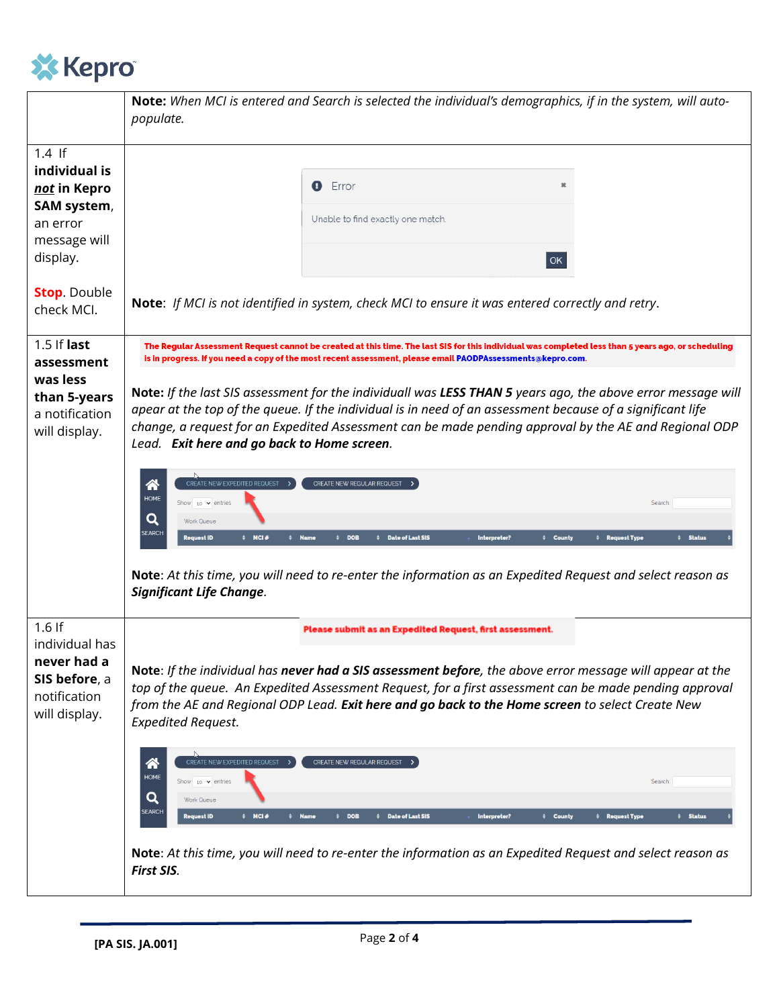

|                                                                                             | Note: When MCI is entered and Search is selected the individual's demographics, if in the system, will auto-<br>populate.                                                                                                                                                                                                                                                                                                                                                                                                                                                                                                                                                                                                                                                     |  |  |  |  |  |  |
|---------------------------------------------------------------------------------------------|-------------------------------------------------------------------------------------------------------------------------------------------------------------------------------------------------------------------------------------------------------------------------------------------------------------------------------------------------------------------------------------------------------------------------------------------------------------------------------------------------------------------------------------------------------------------------------------------------------------------------------------------------------------------------------------------------------------------------------------------------------------------------------|--|--|--|--|--|--|
| $1.4$ If<br>individual is<br>not in Kepro<br>SAM system,<br>an error<br>message will        | Error<br>ø<br>×<br>Unable to find exactly one match.                                                                                                                                                                                                                                                                                                                                                                                                                                                                                                                                                                                                                                                                                                                          |  |  |  |  |  |  |
| display.<br><b>Stop.</b> Double<br>check MCI.                                               | OK<br>Note: If MCI is not identified in system, check MCI to ensure it was entered correctly and retry.                                                                                                                                                                                                                                                                                                                                                                                                                                                                                                                                                                                                                                                                       |  |  |  |  |  |  |
| 1.5 If last<br>assessment<br>was less<br>than 5-years<br>a notification<br>will display.    | The Regular Assessment Request cannot be created at this time. The last SIS for this individual was completed less than 5 years ago, or scheduling<br>is in progress. If you need a copy of the most recent assessment, please email PAODPAssessments@kepro.com.<br>Note: If the last SIS assessment for the individuall was LESS THAN 5 years ago, the above error message will<br>apear at the top of the queue. If the individual is in need of an assessment because of a significant life<br>change, a request for an Expedited Assessment can be made pending approval by the AE and Regional ODP<br>Lead. Exit here and go back to Home screen.<br>CREATE NEW EXPEDITED REQUEST<br>谷<br>CREATE NEW REGULAR REQUEST<br><b>HOME</b><br>Show 10 $\vee$ entries<br>Search: |  |  |  |  |  |  |
|                                                                                             | Q<br><b>Work Queue</b><br><b>SEARCH</b><br>$\div$ MCI#<br><b>Request ID</b><br><b>Name</b><br><b>DOB</b><br><b>Date of Last SIS</b><br>Interpreter?<br># County<br><b><math>\div</math></b> Status<br>$\bullet$<br># Request Type<br>Note: At this time, you will need to re-enter the information as an Expedited Request and select reason as<br><b>Significant Life Change.</b>                                                                                                                                                                                                                                                                                                                                                                                            |  |  |  |  |  |  |
| $1.6$ If<br>individual has<br>never had a<br>SIS before, a<br>notification<br>will display. | Please submit as an Expedited Request, first assessment.<br>Note: If the individual has never had a SIS assessment before, the above error message will appear at the<br>top of the queue. An Expedited Assessment Request, for a first assessment can be made pending approval<br>from the AE and Regional ODP Lead. Exit here and go back to the Home screen to select Create New<br><b>Expedited Request.</b>                                                                                                                                                                                                                                                                                                                                                              |  |  |  |  |  |  |
|                                                                                             | CREATE NEW EXPEDITED REQUEST<br>谷<br>CREATE NEW REGULAR REQUEST<br><b>HOME</b><br>Show 10 $\vee$ entries<br>Search:<br>Q<br>Work Queue<br><b>SEARCH</b><br>$\div$ MCI#<br>$#$ Name<br>$\div$ DOB<br>Date of Last SIS<br>Interpreter?<br># County<br>$\div$ Status<br><b>Request ID</b><br># Request Type                                                                                                                                                                                                                                                                                                                                                                                                                                                                      |  |  |  |  |  |  |
|                                                                                             | Note: At this time, you will need to re-enter the information as an Expedited Request and select reason as<br>First SIS.                                                                                                                                                                                                                                                                                                                                                                                                                                                                                                                                                                                                                                                      |  |  |  |  |  |  |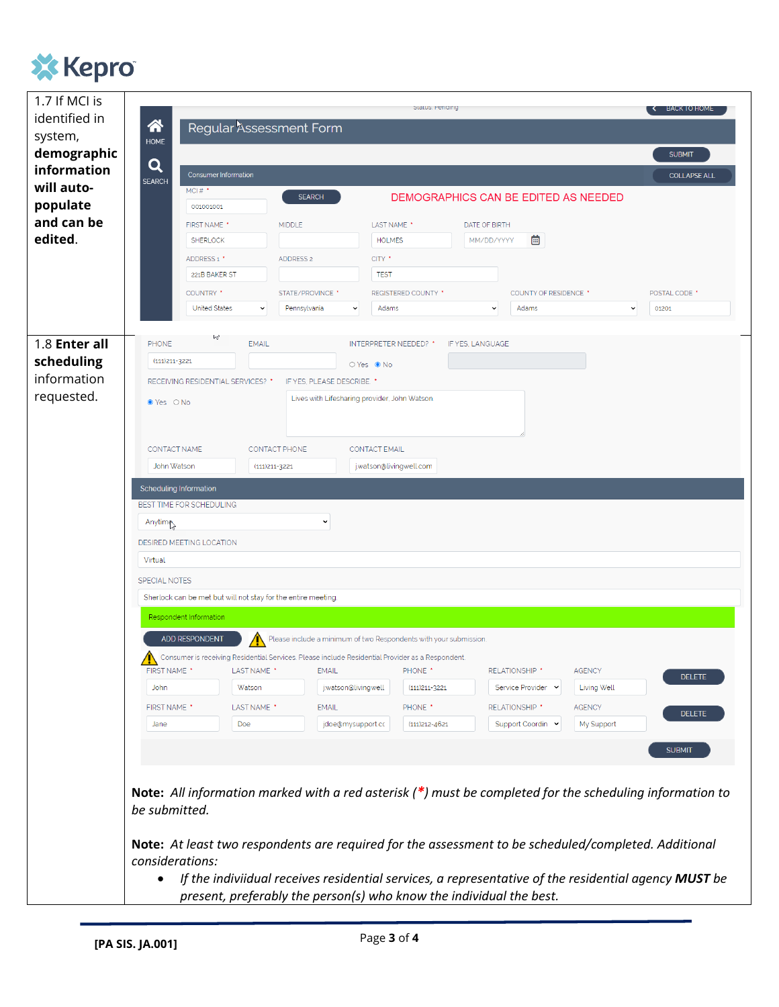

| 1.7 If MCI is |                                                                                                            |                                                                                                      |                                                          |  |  |  |  |
|---------------|------------------------------------------------------------------------------------------------------------|------------------------------------------------------------------------------------------------------|----------------------------------------------------------|--|--|--|--|
| identified in | Status, Periding<br>K BACK TO HOME                                                                         |                                                                                                      |                                                          |  |  |  |  |
| system,       | 谷<br>Regular Assessment Form<br><b>HOME</b>                                                                |                                                                                                      |                                                          |  |  |  |  |
| demographic   |                                                                                                            |                                                                                                      | <b>SUBMIT</b>                                            |  |  |  |  |
| information   | Q<br><b>Consumer Information</b>                                                                           |                                                                                                      | <b>COLLAPSE ALL</b>                                      |  |  |  |  |
| will auto-    | <b>SEARCH</b><br>MCI# $*$                                                                                  | <b>SEARCH</b><br>DEMOGRAPHICS CAN BE EDITED AS NEEDED                                                |                                                          |  |  |  |  |
| populate      | 001001001                                                                                                  |                                                                                                      |                                                          |  |  |  |  |
| and can be    | <b>FIRST NAME</b> '<br><b>MIDDLE</b>                                                                       | LAST NAME <sup>*</sup><br>DATE OF BIRTH                                                              |                                                          |  |  |  |  |
| edited.       | <b>SHERLOCK</b>                                                                                            | <b>HOLMES</b><br>MM/DD/YYYY                                                                          | 蔨                                                        |  |  |  |  |
|               | ADDRESS 1 *<br><b>ADDRESS 2</b>                                                                            | CITY <sup>*</sup>                                                                                    |                                                          |  |  |  |  |
|               | 221B BAKER ST                                                                                              | <b>TEST</b>                                                                                          |                                                          |  |  |  |  |
|               | COUNTRY *                                                                                                  | STATE/PROVINCE *<br><b>REGISTERED COUNTY *</b>                                                       | POSTAL CODE <sup>+</sup><br><b>COUNTY OF RESIDENCE *</b> |  |  |  |  |
|               | <b>United States</b><br>$\checkmark$                                                                       | Adams<br>Pennsylvania<br>$\checkmark$<br>$\checkmark$                                                | Adams<br>01201<br>$\check{~}$                            |  |  |  |  |
|               | W                                                                                                          |                                                                                                      |                                                          |  |  |  |  |
| 1.8 Enter all | <b>EMAIL</b><br><b>PHONE</b>                                                                               | <b>INTERPRETER NEEDED?</b> *<br>IF YES, LANGUAGE                                                     |                                                          |  |  |  |  |
| scheduling    | $(111)211 - 3221$                                                                                          | ○ Yes ● No                                                                                           |                                                          |  |  |  |  |
| information   | RECEIVING RESIDENTIAL SERVICES? *                                                                          | IF YES, PLEASE DESCRIBE. *                                                                           |                                                          |  |  |  |  |
| requested.    | ● Yes O No                                                                                                 | Lives with Lifesharing provider, John Watson.                                                        |                                                          |  |  |  |  |
|               |                                                                                                            |                                                                                                      |                                                          |  |  |  |  |
|               |                                                                                                            |                                                                                                      |                                                          |  |  |  |  |
|               | <b>CONTACT NAME</b><br><b>CONTACT PHONE</b>                                                                | <b>CONTACT EMAIL</b>                                                                                 |                                                          |  |  |  |  |
|               | John Watson<br>(111) 211 - 3221                                                                            | j.watson@livingwell.com                                                                              |                                                          |  |  |  |  |
|               | Scheduling Information                                                                                     |                                                                                                      |                                                          |  |  |  |  |
|               | BEST TIME FOR SCHEDULING                                                                                   |                                                                                                      |                                                          |  |  |  |  |
|               | Anytime                                                                                                    | $\check{ }$                                                                                          |                                                          |  |  |  |  |
|               | DESIRED MEETING LOCATION                                                                                   |                                                                                                      |                                                          |  |  |  |  |
|               | Virtual                                                                                                    |                                                                                                      |                                                          |  |  |  |  |
|               | <b>SPECIAL NOTES</b>                                                                                       |                                                                                                      |                                                          |  |  |  |  |
|               | Sherlock can be met but will not stay for the entire meeting                                               |                                                                                                      |                                                          |  |  |  |  |
|               | Respondent Information                                                                                     |                                                                                                      |                                                          |  |  |  |  |
|               | ADD RESPONDENT<br>Please include a minimum of two Respondents with your submission.                        |                                                                                                      |                                                          |  |  |  |  |
|               |                                                                                                            | Consumer is receiving Residential Services. Please include Residential Provider as a Respondent.     |                                                          |  |  |  |  |
|               | FIRST NAME *<br>LAST NAME *                                                                                | <b>EMAIL</b><br>PHONE <sup>*</sup><br>RELATIONSHIP <sup>*</sup>                                      | <b>AGENCY</b><br><b>DELETE</b>                           |  |  |  |  |
|               | <b>John</b><br>Watson                                                                                      | j.watson@livingwell<br>(111) 211 - 3221                                                              | <b>Living Well</b><br>Service Provider Y                 |  |  |  |  |
|               | FIRST NAME *<br>LAST NAME *                                                                                | <b>EMAIL</b><br>PHONE <sup>*</sup><br>RELATIONSHIP *                                                 | <b>AGENCY</b>                                            |  |  |  |  |
|               | <b>Doe</b><br>Jane                                                                                         | jdoe@mysupport.cc<br>$(111)212 - 4621$                                                               | <b>DELETE</b><br>Support Coordin v<br>My Support         |  |  |  |  |
|               |                                                                                                            |                                                                                                      |                                                          |  |  |  |  |
|               |                                                                                                            |                                                                                                      | <b>SUBMIT</b>                                            |  |  |  |  |
|               |                                                                                                            |                                                                                                      |                                                          |  |  |  |  |
|               | Note: All information marked with a red asterisk $(*)$ must be completed for the scheduling information to |                                                                                                      |                                                          |  |  |  |  |
|               | be submitted.                                                                                              |                                                                                                      |                                                          |  |  |  |  |
|               |                                                                                                            |                                                                                                      |                                                          |  |  |  |  |
|               |                                                                                                            | Note: At least two respondents are required for the assessment to be scheduled/completed. Additional |                                                          |  |  |  |  |
|               | considerations:                                                                                            |                                                                                                      |                                                          |  |  |  |  |
|               |                                                                                                            | If the indiviidual receives residential services, a representative of the residential agency MUST be |                                                          |  |  |  |  |
|               |                                                                                                            | present, preferably the person(s) who know the individual the best.                                  |                                                          |  |  |  |  |